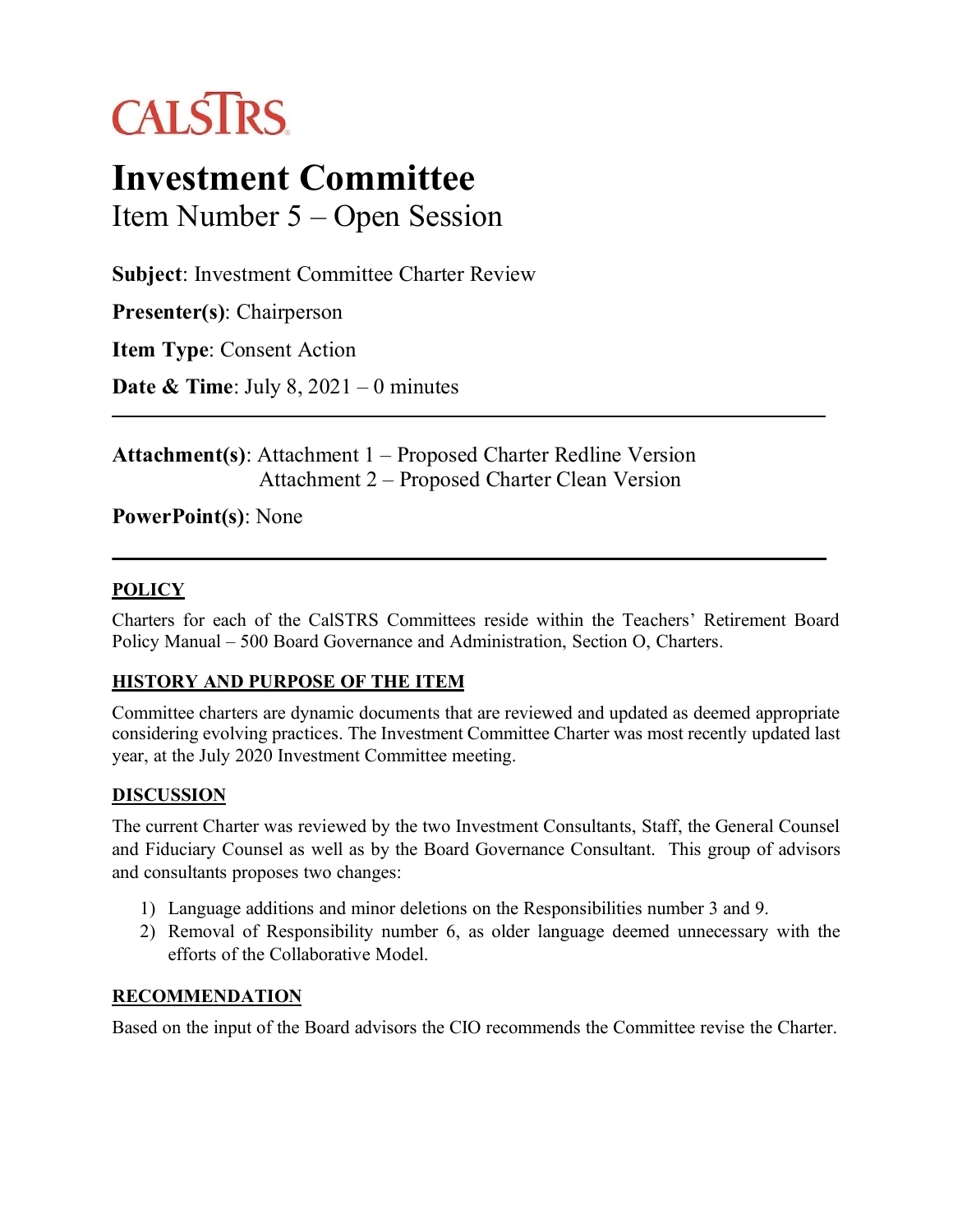# **CALSTRS**

## **Investment Committee**

Item Number 5 – Open Session

**Subject**: Investment Committee Charter Review

**Presenter(s)**: Chairperson

**Item Type**: Consent Action

**Date & Time**: July 8, 2021 – 0 minutes

**Attachment(s)**: Attachment 1 – Proposed Charter Redline Version Attachment 2 – Proposed Charter Clean Version

### **PowerPoint(s)**: None

#### **POLICY**

Charters for each of the CalSTRS Committees reside within the Teachers' Retirement Board Policy Manual – 500 Board Governance and Administration, Section O, Charters.

#### **HISTORY AND PURPOSE OF THE ITEM**

Committee charters are dynamic documents that are reviewed and updated as deemed appropriate considering evolving practices. The Investment Committee Charter was most recently updated last year, at the July 2020 Investment Committee meeting.

#### **DISCUSSION**

The current Charter was reviewed by the two Investment Consultants, Staff, the General Counsel and Fiduciary Counsel as well as by the Board Governance Consultant. This group of advisors and consultants proposes two changes:

- 1) Language additions and minor deletions on the Responsibilities number 3 and 9.
- 2) Removal of Responsibility number 6, as older language deemed unnecessary with the efforts of the Collaborative Model.

#### **RECOMMENDATION**

Based on the input of the Board advisors the CIO recommends the Committee revise the Charter.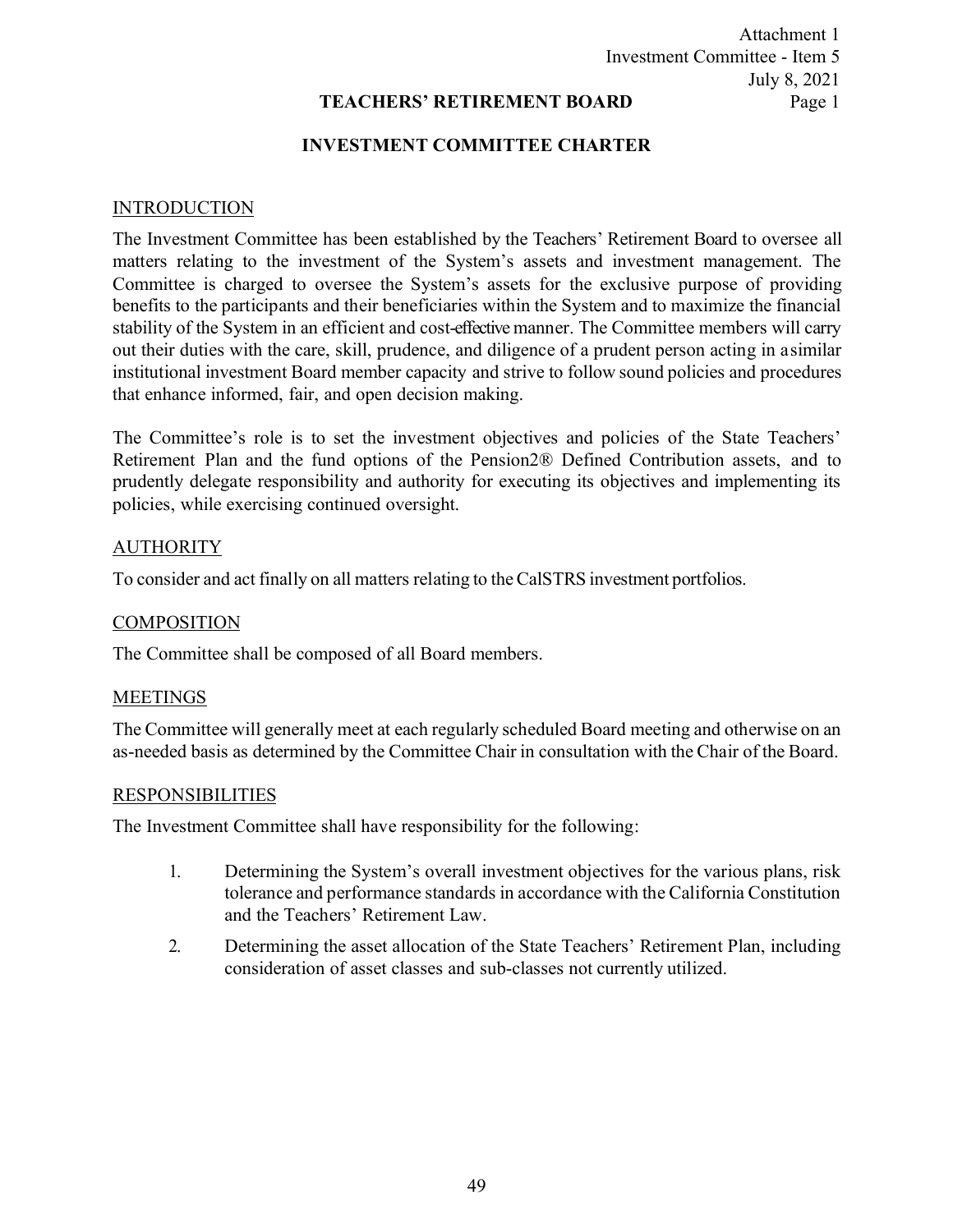#### Attachment 1 Investment Committee - Item 5 July 8, 2021 Page 1

#### **TEACHERS' RETIREMENT BOARD**

#### **INVESTMENT COMMITTEE CHARTER**

#### **INTRODUCTION**

The Investment Committee has been established by the Teachers' Retirement Board to oversee all matters relating to the investment of the System's assets and investment management. The Committee is charged to oversee the System's assets for the exclusive purpose of providing benefits to the participants and their beneficiaries within the System and to maximize the financial stability of the System in an efficient and cost-effective manner. The Committee members will carry out their duties with the care, skill, prudence, and diligence of a prudent person acting in asimilar institutional investment Board member capacity and strive to follow sound policies and procedures that enhance informed, fair, and open decision making.

The Committee's role is to set the investment objectives and policies of the State Teachers' Retirement Plan and the fund options of the Pension2® Defined Contribution assets, and to prudently delegate responsibility and authority for executing its objectives and implementing its policies, while exercising continued oversight.

#### AUTHORITY

To consider and act finally on all matters relating to theCalSTRS investment portfolios.

#### COMPOSITION

The Committee shall be composed of all Board members.

#### MEETINGS

The Committee will generally meet at each regularly scheduled Board meeting and otherwise on an as-needed basis as determined by the Committee Chair in consultation with the Chair of the Board.

#### RESPONSIBILITIES

The Investment Committee shall have responsibility for the following:

- 1. Determining the System's overall investment objectives for the various plans, risk tolerance and performance standards in accordance with the California Constitution and the Teachers' Retirement Law.
- 2. Determining the asset allocation of the State Teachers' Retirement Plan, including consideration of asset classes and sub-classes not currently utilized.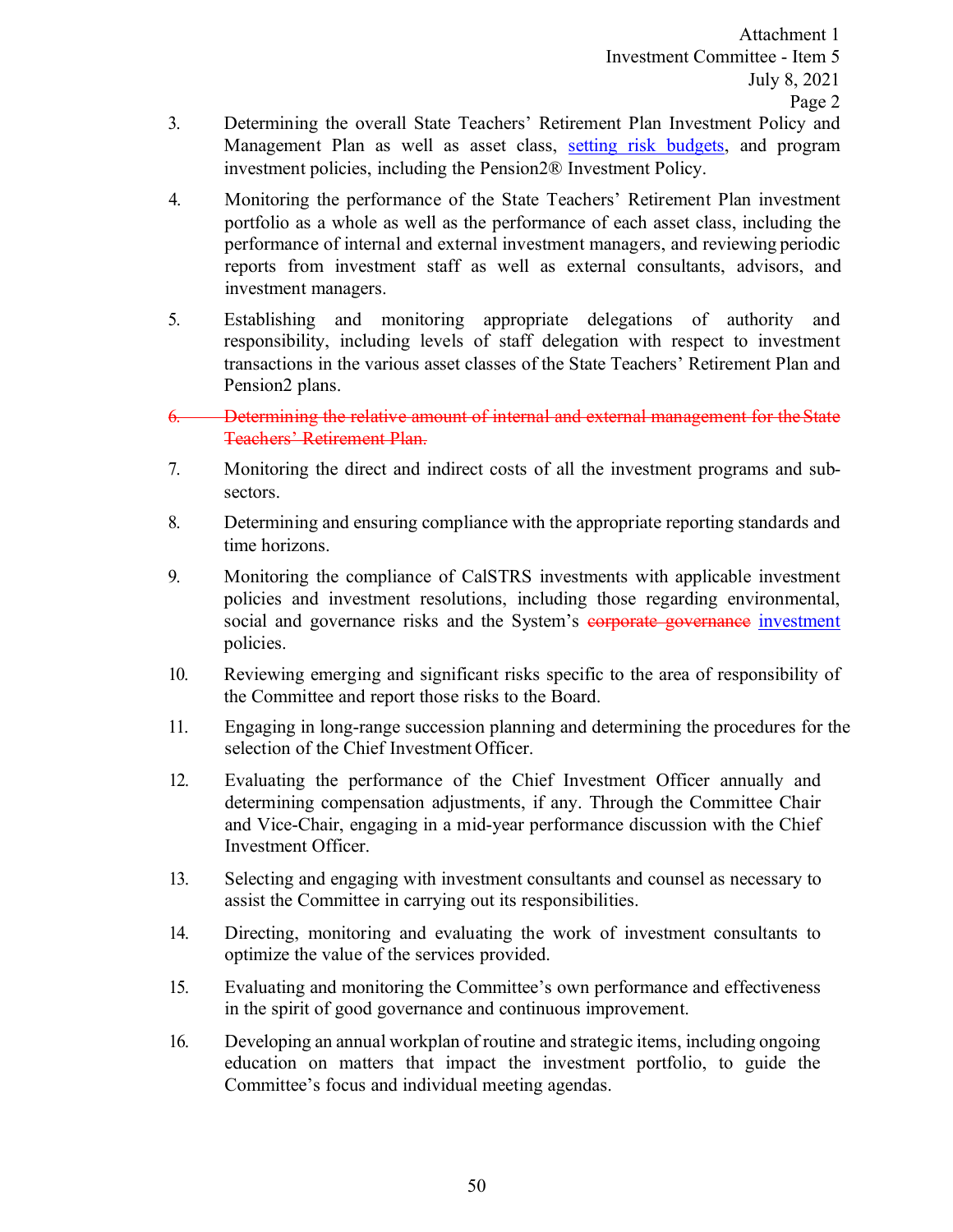- 3. Determining the overall State Teachers' Retirement Plan Investment Policy and Management Plan as well as asset class, setting risk budgets, and program investment policies, including the Pension2® Investment Policy.
- 4. Monitoring the performance of the State Teachers' Retirement Plan investment portfolio as a whole as well as the performance of each asset class, including the performance of internal and external investment managers, and reviewing periodic reports from investment staff as well as external consultants, advisors, and investment managers.
- 5. Establishing and monitoring appropriate delegations of authority and responsibility, including levels of staff delegation with respect to investment transactions in the various asset classes of the State Teachers' Retirement Plan and Pension2 plans.
- 6. Determining the relative amount of internal and external management for theState Teachers' Retirement Plan.
- 7. Monitoring the direct and indirect costs of all the investment programs and subsectors.
- 8. Determining and ensuring compliance with the appropriate reporting standards and time horizons.
- 9. Monitoring the compliance of CalSTRS investments with applicable investment policies and investment resolutions, including those regarding environmental, social and governance risks and the System's corporate governance investment policies.
- 10. Reviewing emerging and significant risks specific to the area of responsibility of the Committee and report those risks to the Board.
- 11. Engaging in long-range succession planning and determining the procedures for the selection of the Chief Investment Officer.
- 12. Evaluating the performance of the Chief Investment Officer annually and determining compensation adjustments, if any. Through the Committee Chair and Vice-Chair, engaging in a mid-year performance discussion with the Chief Investment Officer.
- 13. Selecting and engaging with investment consultants and counsel as necessary to assist the Committee in carrying out its responsibilities.
- 14. Directing, monitoring and evaluating the work of investment consultants to optimize the value of the services provided.
- 15. Evaluating and monitoring the Committee's own performance and effectiveness in the spirit of good governance and continuous improvement.
- 16. Developing an annual workplan of routine and strategic items, including ongoing education on matters that impact the investment portfolio, to guide the Committee's focus and individual meeting agendas.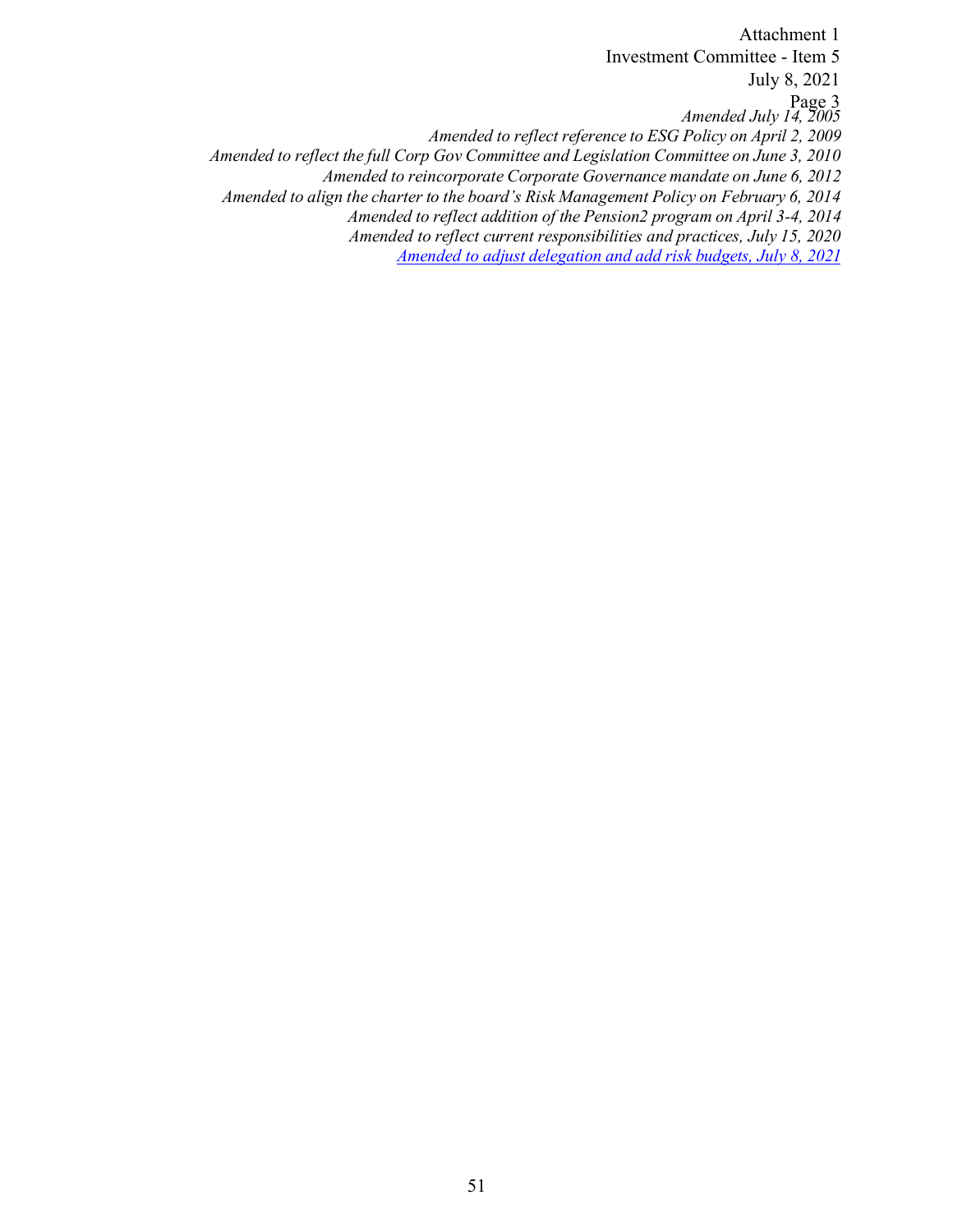*Amended July 14, 2005 Amended to reflect reference to ESG Policy on April 2, 2009 Amended to reflect the full Corp Gov Committee and Legislation Committee on June 3, 2010 Amended to reincorporate Corporate Governance mandate on June 6, 2012 Amended to align the charter to the board's Risk Management Policy on February 6, 2014 Amended to reflect addition of the Pension2 program on April 3-4, 2014 Amended to reflect current responsibilities and practices, July 15, 2020 Amended to adjust delegation and add risk budgets, July 8, 2021*  Attachment 1 Investment Committee - Item 5 July 8, 2021 Page 3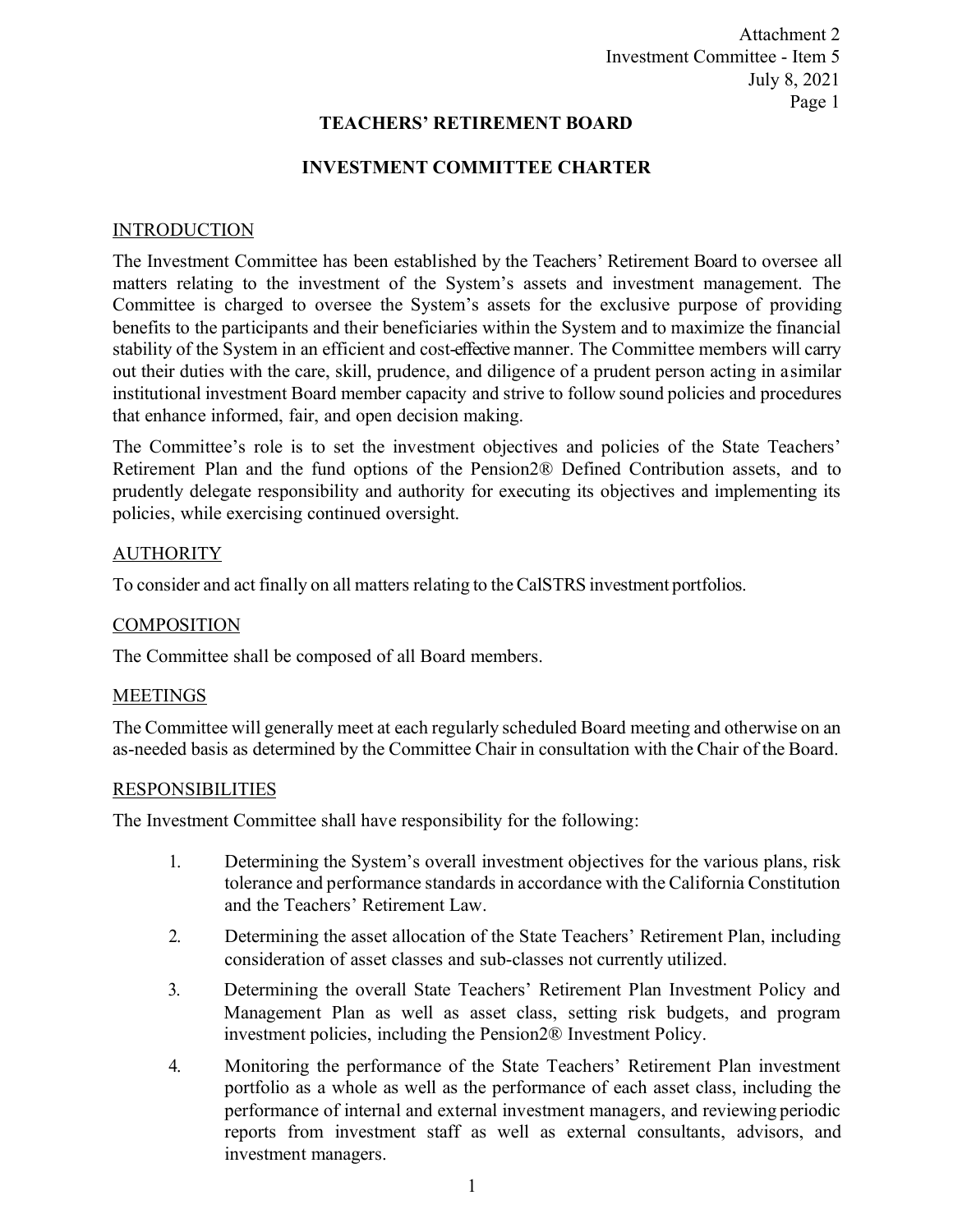Attachment 2 Investment Committee - Item 5 July 8, 2021 Page 1

#### **TEACHERS' RETIREMENT BOARD**

#### **INVESTMENT COMMITTEE CHARTER**

#### **INTRODUCTION**

The Investment Committee has been established by the Teachers' Retirement Board to oversee all matters relating to the investment of the System's assets and investment management. The Committee is charged to oversee the System's assets for the exclusive purpose of providing benefits to the participants and their beneficiaries within the System and to maximize the financial stability of the System in an efficient and cost-effective manner. The Committee members will carry out their duties with the care, skill, prudence, and diligence of a prudent person acting in asimilar institutional investment Board member capacity and strive to follow sound policies and procedures that enhance informed, fair, and open decision making.

The Committee's role is to set the investment objectives and policies of the State Teachers' Retirement Plan and the fund options of the Pension2® Defined Contribution assets, and to prudently delegate responsibility and authority for executing its objectives and implementing its policies, while exercising continued oversight.

#### AUTHORITY

To consider and act finally on all matters relating to theCalSTRS investment portfolios.

#### **COMPOSITION**

The Committee shall be composed of all Board members.

#### MEETINGS

The Committee will generally meet at each regularly scheduled Board meeting and otherwise on an as-needed basis as determined by the Committee Chair in consultation with the Chair of the Board.

#### RESPONSIBILITIES

The Investment Committee shall have responsibility for the following:

- 1. Determining the System's overall investment objectives for the various plans, risk tolerance and performance standards in accordance with the California Constitution and the Teachers' Retirement Law.
- 2. Determining the asset allocation of the State Teachers' Retirement Plan, including consideration of asset classes and sub-classes not currently utilized.
- 3. Determining the overall State Teachers' Retirement Plan Investment Policy and Management Plan as well as asset class, setting risk budgets, and program investment policies, including the Pension2® Investment Policy.
- 4. Monitoring the performance of the State Teachers' Retirement Plan investment portfolio as a whole as well as the performance of each asset class, including the performance of internal and external investment managers, and reviewing periodic reports from investment staff as well as external consultants, advisors, and investment managers.